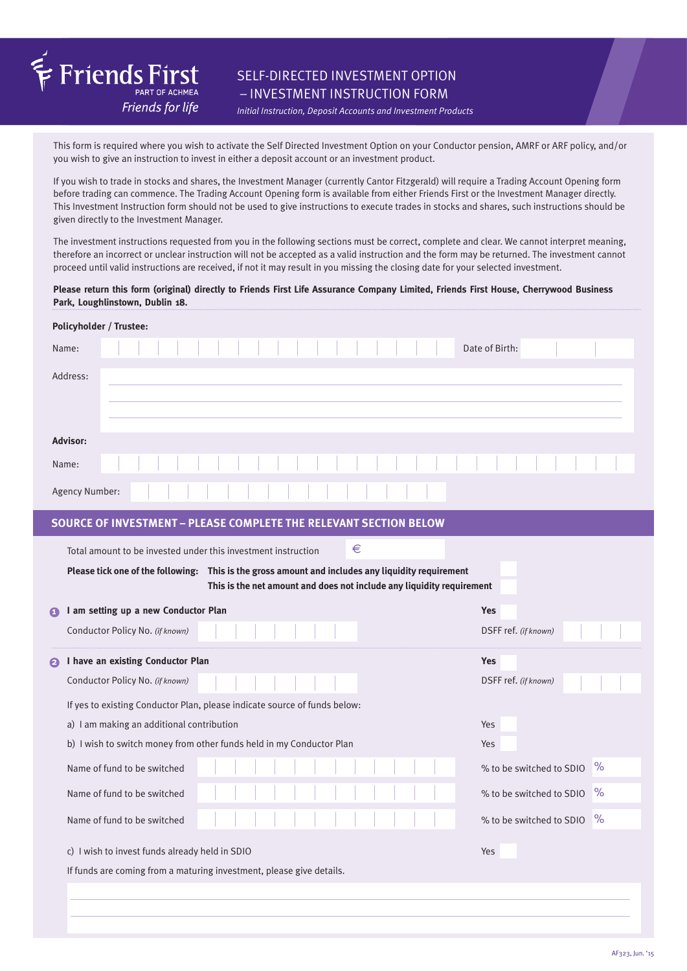

# SELF-DIRECTED INVESTMENT OPTION – INVESTMENT INSTRUCTION FORM

*Initial Instruction, Deposit Accounts and Investment Products*

This form is required where you wish to activate the Self Directed Investment Option on your Conductor pension, AMRF or ARF policy, and/or you wish to give an instruction to invest in either a deposit account or an investment product.

If you wish to trade in stocks and shares, the Investment Manager (currently Cantor Fitzgerald) will require a Trading Account Opening form before trading can commence. The Trading Account Opening form is available from either Friends First or the Investment Manager directly. This Investment Instruction form should not be used to give instructions to execute trades in stocks and shares, such instructions should be given directly to the Investment Manager.

The investment instructions requested from you in the following sections must be correct, complete and clear. We cannot interpret meaning, therefore an incorrect or unclear instruction will not be accepted as a valid instruction and the form may be returned. The investment cannot proceed until valid instructions are received, if not it may result in you missing the closing date for your selected investment.

#### **Please return this form (original) directly to Friends First Life Assurance Company Limited, Friends First House, Cherrywood Business Park, Loughlinstown, Dublin 18.**

| Policyholder / Trustee:                                                                                                                                                                                                                          |                                  |  |  |
|--------------------------------------------------------------------------------------------------------------------------------------------------------------------------------------------------------------------------------------------------|----------------------------------|--|--|
| Name:                                                                                                                                                                                                                                            | Date of Birth:                   |  |  |
| Address:                                                                                                                                                                                                                                         |                                  |  |  |
| <b>Advisor:</b>                                                                                                                                                                                                                                  |                                  |  |  |
| Name:                                                                                                                                                                                                                                            |                                  |  |  |
| Agency Number:                                                                                                                                                                                                                                   |                                  |  |  |
| <b>SOURCE OF INVESTMENT - PLEASE COMPLETE THE RELEVANT SECTION BELOW</b>                                                                                                                                                                         |                                  |  |  |
| €<br>Total amount to be invested under this investment instruction<br>Please tick one of the following: This is the gross amount and includes any liquidity requirement<br>This is the net amount and does not include any liquidity requirement |                                  |  |  |
| I am setting up a new Conductor Plan<br>$\mathbf \Omega$                                                                                                                                                                                         | <b>Yes</b>                       |  |  |
| Conductor Policy No. (if known)                                                                                                                                                                                                                  | DSFF ref. (if known)             |  |  |
| I have an existing Conductor Plan<br>2                                                                                                                                                                                                           | <b>Yes</b>                       |  |  |
| Conductor Policy No. (if known)                                                                                                                                                                                                                  | DSFF ref. (if known)             |  |  |
| If yes to existing Conductor Plan, please indicate source of funds below:                                                                                                                                                                        |                                  |  |  |
|                                                                                                                                                                                                                                                  |                                  |  |  |
| a) I am making an additional contribution                                                                                                                                                                                                        | Yes                              |  |  |
| b) I wish to switch money from other funds held in my Conductor Plan                                                                                                                                                                             | Yes                              |  |  |
| Name of fund to be switched                                                                                                                                                                                                                      | $\%$<br>% to be switched to SDIO |  |  |
| Name of fund to be switched                                                                                                                                                                                                                      | $\%$<br>% to be switched to SDIO |  |  |
| Name of fund to be switched                                                                                                                                                                                                                      | $\%$<br>% to be switched to SDIO |  |  |
| c) I wish to invest funds already held in SDIO                                                                                                                                                                                                   | Yes                              |  |  |
| If funds are coming from a maturing investment, please give details.                                                                                                                                                                             |                                  |  |  |
|                                                                                                                                                                                                                                                  |                                  |  |  |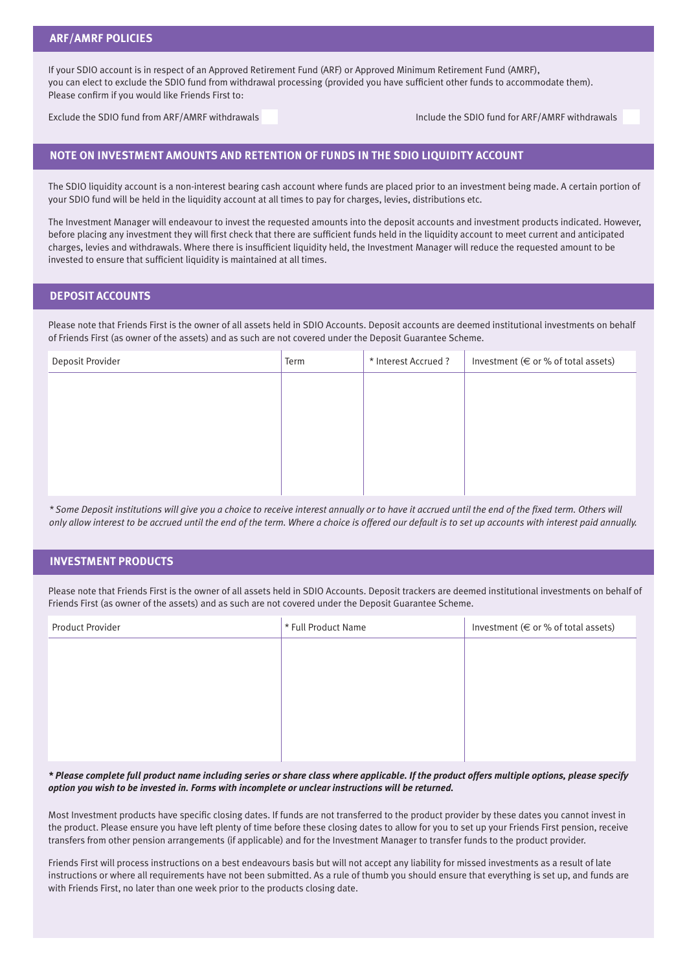If your SDIO account is in respect of an Approved Retirement Fund (ARF) or Approved Minimum Retirement Fund (AMRF), you can elect to exclude the SDIO fund from withdrawal processing (provided you have sufficient other funds to accommodate them). Please confirm if you would like Friends First to:

Exclude the SDIO fund from ARF/AMRF withdrawals Include the SDIO fund for ARF/AMRF withdrawals

## **NOTE ON INVESTMENT AMOUNTS AND RETENTION OF FUNDS IN THE SDIO LIQUIDITY ACCOUNT**

The SDIO liquidity account is a non-interest bearing cash account where funds are placed prior to an investment being made. A certain portion of your SDIO fund will be held in the liquidity account at all times to pay for charges, levies, distributions etc.

The Investment Manager will endeavour to invest the requested amounts into the deposit accounts and investment products indicated. However, before placing any investment they will first check that there are sufficient funds held in the liquidity account to meet current and anticipated charges, levies and withdrawals. Where there is insufficient liquidity held, the Investment Manager will reduce the requested amount to be invested to ensure that sufficient liquidity is maintained at all times.

### **DEPOSIT ACCOUNTS**

Please note that Friends First is the owner of all assets held in SDIO Accounts. Deposit accounts are deemed institutional investments on behalf of Friends First (as owner of the assets) and as such are not covered under the Deposit Guarantee Scheme.

| Deposit Provider | Term | * Interest Accrued ? | Investment ( $\in$ or % of total assets) |
|------------------|------|----------------------|------------------------------------------|
|                  |      |                      |                                          |
|                  |      |                      |                                          |
|                  |      |                      |                                          |
|                  |      |                      |                                          |
|                  |      |                      |                                          |
|                  |      |                      |                                          |

*\* Some Deposit institutions will give you a choice to receive interest annually or to have it accrued until the end of the fixed term. Others will only allow interest to be accrued until the end of the term. Where a choice is offered our default is to set up accounts with interest paid annually.*

### **INVESTMENT PRODUCTS**

Please note that Friends First is the owner of all assets held in SDIO Accounts. Deposit trackers are deemed institutional investments on behalf of Friends First (as owner of the assets) and as such are not covered under the Deposit Guarantee Scheme.

| <b>Product Provider</b> | * Full Product Name | Investment (€ or % of total assets) |
|-------------------------|---------------------|-------------------------------------|
|                         |                     |                                     |
|                         |                     |                                     |
|                         |                     |                                     |
|                         |                     |                                     |
|                         |                     |                                     |
|                         |                     |                                     |

*\* Please complete full product name including series or share class where applicable. If the product offers multiple options, please specify option you wish to be invested in. Forms with incomplete or unclear instructions will be returned.* 

Most Investment products have specific closing dates. If funds are not transferred to the product provider by these dates you cannot invest in the product. Please ensure you have left plenty of time before these closing dates to allow for you to set up your Friends First pension, receive transfers from other pension arrangements (if applicable) and for the Investment Manager to transfer funds to the product provider.

Friends First will process instructions on a best endeavours basis but will not accept any liability for missed investments as a result of late instructions or where all requirements have not been submitted. As a rule of thumb you should ensure that everything is set up, and funds are with Friends First, no later than one week prior to the products closing date.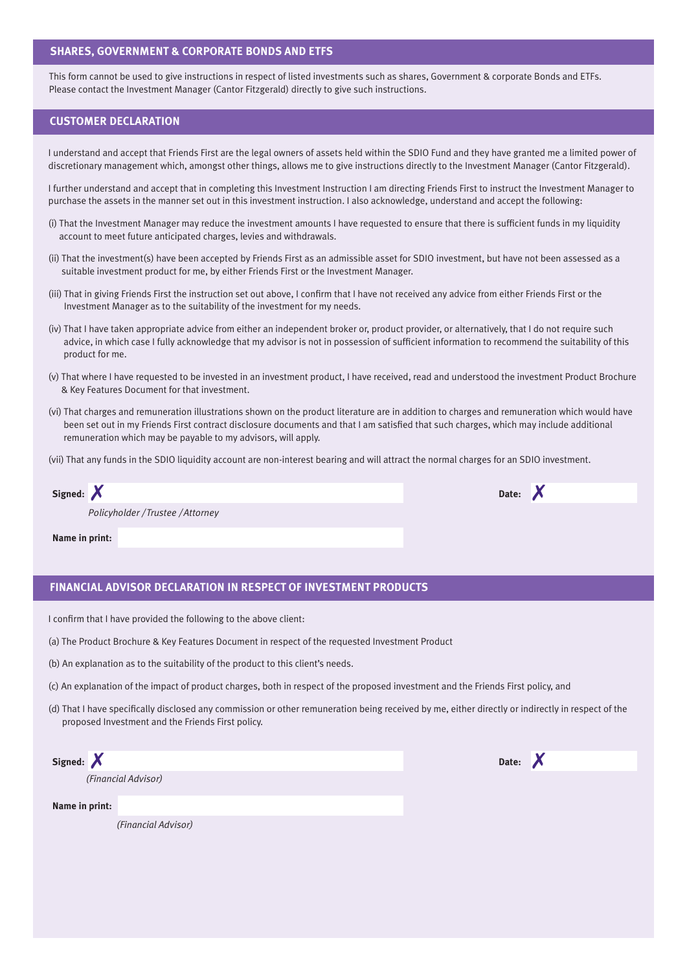#### **SHARES, GOVERNMENT & CORPORATE BONDS AND ETFS**

This form cannot be used to give instructions in respect of listed investments such as shares, Government & corporate Bonds and ETFs. Please contact the Investment Manager (Cantor Fitzgerald) directly to give such instructions.

## **CUSTOMER DECLARATION**

I understand and accept that Friends First are the legal owners of assets held within the SDIO Fund and they have granted me a limited power of discretionary management which, amongst other things, allows me to give instructions directly to the Investment Manager (Cantor Fitzgerald).

I further understand and accept that in completing this Investment Instruction I am directing Friends First to instruct the Investment Manager to purchase the assets in the manner set out in this investment instruction. I also acknowledge, understand and accept the following:

- (i) That the Investment Manager may reduce the investment amounts I have requested to ensure that there is sufficient funds in my liquidity account to meet future anticipated charges, levies and withdrawals.
- (ii) That the investment(s) have been accepted by Friends First as an admissible asset for SDIO investment, but have not been assessed as a suitable investment product for me, by either Friends First or the Investment Manager.
- (iii) That in giving Friends First the instruction set out above, I confirm that I have not received any advice from either Friends First or the Investment Manager as to the suitability of the investment for my needs.
- (iv) That I have taken appropriate advice from either an independent broker or, product provider, or alternatively, that I do not require such advice, in which case I fully acknowledge that my advisor is not in possession of sufficient information to recommend the suitability of this product for me.
- (v) That where I have requested to be invested in an investment product, I have received, read and understood the investment Product Brochure & Key Features Document for that investment.
- (vi) That charges and remuneration illustrations shown on the product literature are in addition to charges and remuneration which would have been set out in my Friends First contract disclosure documents and that I am satisfied that such charges, which may include additional remuneration which may be payable to my advisors, will apply.
- (vii) That any funds in the SDIO liquidity account are non-interest bearing and will attract the normal charges for an SDIO investment.

| Signed: X                         | Date: X |
|-----------------------------------|---------|
| Policyholder / Trustee / Attorney |         |
| Name in print:                    |         |

### **FINANCIAL ADVISOR DECLARATION IN RESPECT OF INVESTMENT PRODUCTS**

I confirm that I have provided the following to the above client:

- (a) The Product Brochure & Key Features Document in respect of the requested Investment Product
- (b) An explanation as to the suitability of the product to this client's needs.
- (c) An explanation of the impact of product charges, both in respect of the proposed investment and the Friends First policy, and
- (d) That I have specifically disclosed any commission or other remuneration being received by me, either directly or indirectly in respect of the proposed Investment and the Friends First policy.

| Signed: $X$         | Date:<br>◥◭ |
|---------------------|-------------|
| (Financial Advisor) |             |
| Name in print:      |             |
| (Financial Advisor) |             |